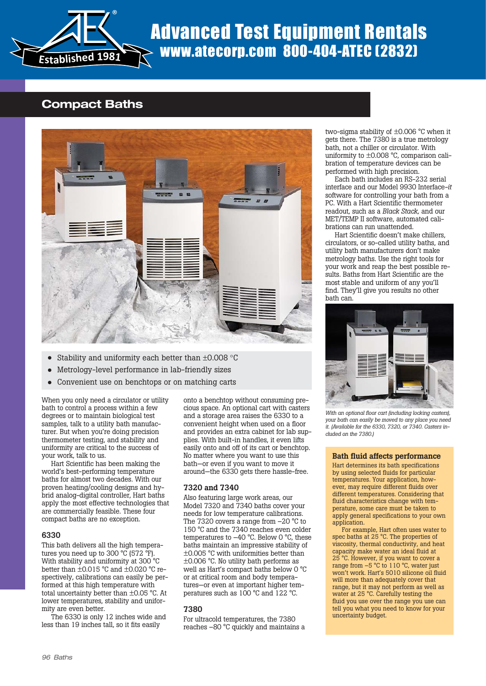

# Advanced Test Equipment Rentals www.atecorp.com 800-404-ATEC (2832)

### **Compact Baths**



- Stability and uniformity each better than ±0.008 °C
- Metrology-level performance in lab-friendly sizes
- Convenient use on benchtops or on matching carts

When you only need a circulator or utility bath to control a process within a few degrees or to maintain biological test samples, talk to a utility bath manufacturer. But when you're doing precision thermometer testing, and stability and uniformity are critical to the success of your work, talk to us.

Hart Scientific has been making the world's best-performing temperature baths for almost two decades. With our proven heating/cooling designs and hybrid analog-digital controller, Hart baths apply the most effective technologies that are commercially feasible. These four compact baths are no exception.

#### **6330**

This bath delivers all the high temperatures you need up to 300  $\degree$ C (572  $\degree$ F). With stability and uniformity at 300 °C better than ±0.015 °C and ±0.020 °C respectively, calibrations can easily be performed at this high temperature with total uncertainty better than ±0.05 °C. At lower temperatures, stability and uniformity are even better.

The 6330 is only 12 inches wide and less than 19 inches tall, so it fits easily

onto a benchtop without consuming precious space. An optional cart with casters and a storage area raises the 6330 to a convenient height when used on a floor and provides an extra cabinet for lab supplies. With built-in handles, it even lifts easily onto and off of its cart or benchtop. No matter where you want to use this bath—or even if you want to move it around—the 6330 gets there hassle-free.

#### **7320 and 7340**

Also featuring large work areas, our Model 7320 and 7340 baths cover your needs for low temperature calibrations. The 7320 covers a range from  $-20$  °C to 150 °C and the 7340 reaches even colder temperatures to –40 °C. Below 0 °C, these baths maintain an impressive stability of ±0.005 °C with uniformities better than  $\pm 0.006$  °C. No utility bath performs as well as Hart's compact baths below 0 °C or at critical room and body temperatures—or even at important higher temperatures such as 100 °C and 122 °C.

#### **7380**

For ultracold temperatures, the 7380 reaches –80 °C quickly and maintains a two-sigma stability of ±0.006 °C when it gets there. The 7380 is a true metrology bath, not a chiller or circulator. With uniformity to ±0.008 °C, comparison calibration of temperature devices can be performed with high precision.

Each bath includes an RS-232 serial interface and our Model 9930 Interface*-it* software for controlling your bath from a PC. With a Hart Scientific thermometer readout, such as a *Black Stack,* and our MET/TEMP II software, automated calibrations can run unattended.

Hart Scientific doesn't make chillers, circulators, or so-called utility baths, and utility bath manufacturers don't make metrology baths. Use the right tools for your work and reap the best possible results. Baths from Hart Scientific are the most stable and uniform of any you'll find. They'll give you results no other bath can.



*With an optional floor cart (including locking casters), your bath can easily be moved to any place you need it. (Available for the 6330, 7320, or 7340. Casters included on the 7380.)*

#### **Bath fluid affects performance**

Hart determines its bath specifications by using selected fluids for particular temperatures. Your application, however, may require different fluids over different temperatures. Considering that fluid characteristics change with temperature, some care must be taken to apply general specifications to your own application.

For example, Hart often uses water to spec baths at 25 °C. The properties of viscosity, thermal conductivity, and heat capacity make water an ideal fluid at 25 °C. However, if you want to cover a range from  $-5$  °C to 110 °C, water just won't work. Hart's 5010 silicone oil fluid will more than adequately cover that range, but it may not perform as well as water at 25 °C. Carefully testing the fluid you use over the range you use can tell you what you need to know for your uncertainty budget.